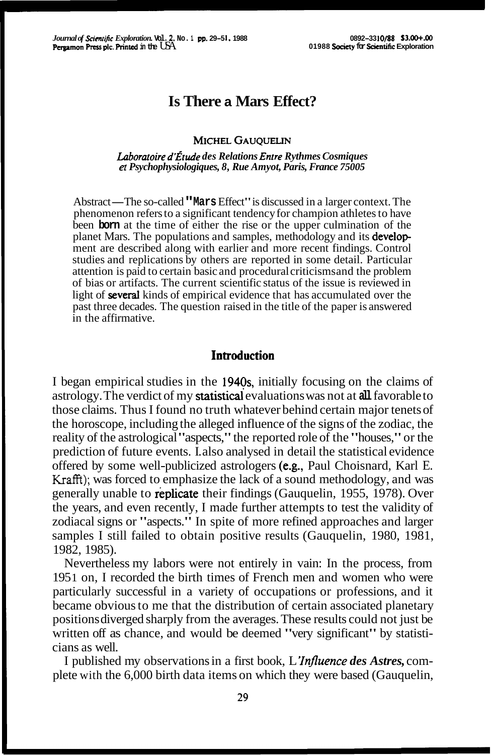# **Is There a Mars Effect?**

#### MICHEL GAUOUELIN

#### Laboratoire d'Étude des Relations Entre Rythmes Cosmiques **et** *Psychophysiologiques, 8, Rue Amyot, Paris, France 75005*

Abstract-The so-called **"Mars** Effect" is discussed in a larger context. The phenomenon refers to a significant tendency for champion athletes to have been **born** at the time of either the rise or the upper culmination of the planet Mars. The populations and samples, methodology and its **develop**ment are described along with earlier and more recent findings. Control studies and replications by others are reported in some detail. Particular attention is paid to certain basic and procedural criticisms and the problem of bias or artifacts. The current scientific status of the issue is reviewed in light of **several** kinds of empirical evidence that has accumulated over the past three decades. The question raised in the title of the paper is answered in the affirmative.

#### **Introduction**

I began empirical studies in the 1940s, initially focusing on the claims of astrology. The verdict of my **statistical** evaluations was not at all favorable to those claims. Thus I found no truth whatever behind certain major tenets of the horoscope, including the alleged influence of the signs of the zodiac, the reality of the astrological "aspects," the reported role of the "houses," or the prediction of future events. I. also analysed in detail the statistical evidence offered by some well-publicized astrologers (e-g., Paul Choisnard, Karl E. **Krafft);** was forced to emphasize the lack of a sound methodology, and was generally unable to replicate their findings (Gauquelin, 1955, 1978). Over the years, and even recently, I made further attempts to test the validity of zodiacal signs or "aspects." In spite of more refined approaches and larger samples I still failed to obtain positive results (Gauquelin, 1980, 1981, 1982, 1985).

Nevertheless my labors were not entirely in vain: In the process, from 1951 on, I recorded the birth times of French men and women who were particularly successful in a variety of occupations or professions, and it became obvious to me that the distribution of certain associated planetary positions diverged sharply from the averages. These results could not just be written off as chance, and would be deemed "very significant" by statisticians as well.

I published my observations in a first book, L *'Influence des Astres,* complete with the 6,000 birth data items on which they were based (Gauquelin,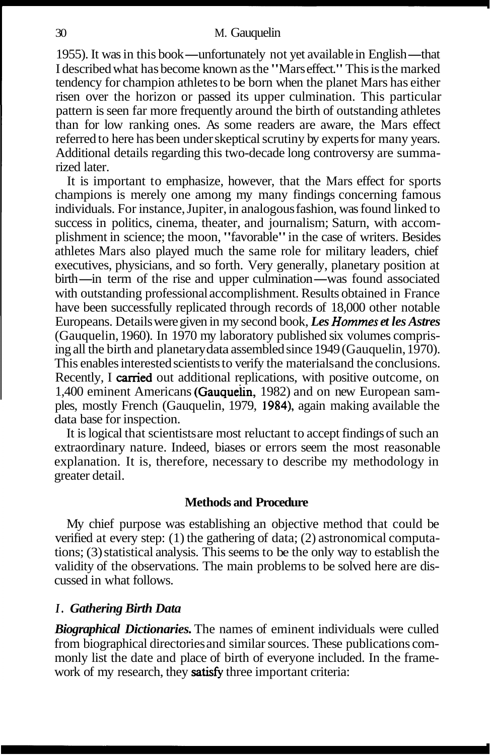1955). It was in this book—unfortunately not yet available in English—that I described what has become known as the "Mars effect." This is the marked tendency for champion athletes to be born when the planet Mars has either risen over the horizon or passed its upper culmination. This particular pattern is seen far more frequently around the birth of outstanding athletes than for low ranking ones. As some readers are aware, the Mars effect referred to here has been under skeptical scrutiny by experts for many years. Additional details regarding this two-decade long controversy are summarized later.

It is important to emphasize, however, that the Mars effect for sports champions is merely one among my many findings concerning famous individuals. For instance, Jupiter, in analogous fashion, was found linked to success in politics, cinema, theater, and journalism; Saturn, with accomplishment in science; the moon, "favorable" in the case of writers. Besides athletes Mars also played much the same role for military leaders, chief executives, physicians, and so forth. Very generally, planetary position at athletes Mars also played much the same role for military leaders, chief executives, physicians, and so forth. Very generally, planetary position at birth—in term of the rise and upper culmination—was found associated with with outstanding professional accomplishment. Results obtained in France have been successfully replicated through records of 18,000 other notable Europeans. Details were given in my second book, *Les Hommes et les Astres*  (Gauquelin, 1960). In 1970 my laboratory published six volumes comprising all the birth and planetary data assembled since 1949 (Gauquelin, 1970). This enables interested scientists to verify the materials and the conclusions. Recently, I carried out additional replications, with positive outcome, on 1,400 eminent Americans (Gauquelin, 1982) and on new European samples, mostly French (Gauquelin, 1979, 1984), again making available the data base for inspection.

It is logical that scientists are most reluctant to accept findings of such an extraordinary nature. Indeed, biases or errors seem the most reasonable explanation. It is, therefore, necessary to describe my methodology in greater detail.

## **Methods and Procedure**

My chief purpose was establishing an objective method that could be verified at every step: (1) the gathering of data; (2) astronomical computations; (3) statistical analysis. This seems to be the only way to establish the validity of the observations. The main problems to be solved here are discussed in what follows.

## *I. Gathering Birth Data*

*Biographical Dictionaries.* The names of eminent individuals were culled from biographical directories and similar sources. These publications commonly list the date and place of birth of everyone included. In the framework of my research, they **satisfy** three important criteria: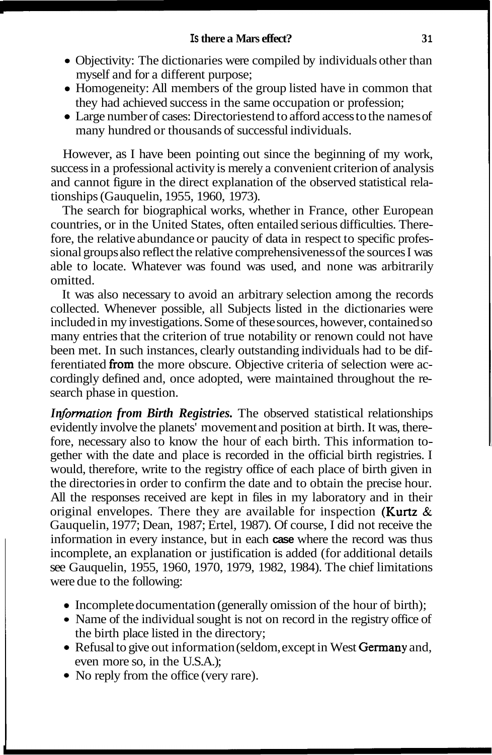- Objectivity: The dictionaries were compiled by individuals other than myself and for a different purpose;
- Homogeneity: All members of the group listed have in common that they had achieved success in the same occupation or profession;
- Large number of cases: Directories tend to afford access to the names of many hundred or thousands of successful individuals.

However, as I have been pointing out since the beginning of my work, success in a professional activity is merely a convenient criterion of analysis and cannot figure in the direct explanation of the observed statistical relationships (Gauquelin, 1955, 1960, 1973).

The search for biographical works, whether in France, other European countries, or in the United States, often entailed serious difficulties. Therefore, the relative abundance or paucity of data in respect to specific professional groups also reflect the relative comprehensiveness of the sources I was able to locate. Whatever was found was used, and none was arbitrarily omitted.

It was also necessary to avoid an arbitrary selection among the records collected. Whenever possible, all Subjects listed in the dictionaries were included in my investigations. Some of these sources, however, contained so many entries that the criterion of true notability or renown could not have been met. In such instances, clearly outstanding individuals had to be differentiated from the more obscure. Objective criteria of selection were accordingly defined and, once adopted, were maintained throughout the research phase in question.

*In formation from Birth Registries.* The observed statistical relationships evidently involve the planets' movement and position at birth. It was, therefore, necessary also to know the hour of each birth. This information together with the date and place is recorded in the official birth registries. I would, therefore, write to the registry office of each place of birth given in the directories in order to confirm the date and to obtain the precise hour. All the responses received are kept in files in my laboratory and in their original envelopes. There they are available for inspection (**Kurtz**  $\&$ Gauquelin, 1977; Dean, 1987; Ertel, 1987). Of course, I did not receive the information in every instance, but in each **case** where the record was thus incomplete, an explanation or justification is added (for additional details see Gauquelin, 1955, 1960, 1970, 1979, 1982, 1984). The chief limitations were due to the following:

- Incomplete documentation (generally omission of the hour of birth);
- Name of the individual sought is not on record in the registry office of the birth place listed in the directory;
- Refusal to give out information (seldom, except in West Germany and, even more so, in the U.S.A.);
- No reply from the office (very rare).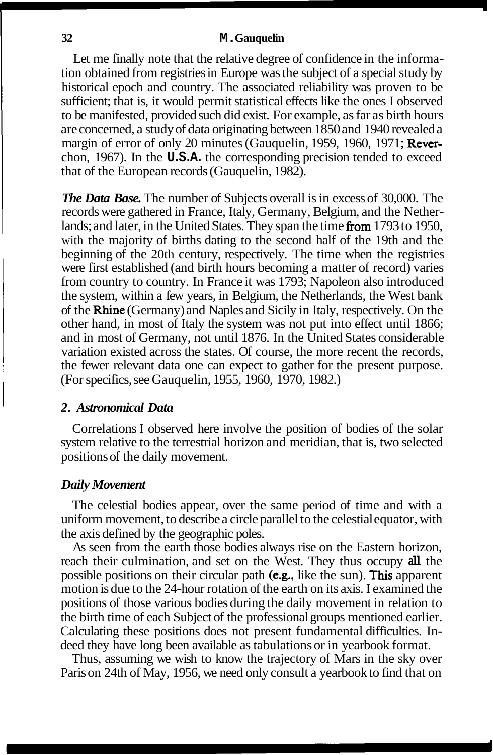Let me finally note that the relative degree of confidence in the information obtained from registries in Europe was the subject of a special study by historical epoch and country. The associated reliability was proven to be sufficient; that is, it would permit statistical effects like the ones I observed to be manifested, provided such did exist. For example, as far as birth hours are concerned, a study of data originating between 1850 and 1940 revealed a margin of error of only 20 minutes (Gauquelin, 1959, 1960, 1971; Reverchon, 1967). In the **U.S.A.** the corresponding precision tended to exceed that of the European records (Gauquelin, 1982).

*The Data Base.* The number of Subjects overall is in excess of 30,000. The records were gathered in France, Italy, Germany, Belgium, and the Netherlands; and later, in the United States. They span the time from 1793 to 1950, with the majority of births dating to the second half of the 19th and the beginning of the 20th century, respectively. The time when the registries were first established (and birth hours becoming a matter of record) varies from country to country. In France it was 1793; Napoleon also introduced the system, within a few years, in Belgium, the Netherlands, the West bank of the Rhine (Germany) and Naples and Sicily in Italy, respectively. On the other hand, in most of Italy the system was not put into effect until 1866; and in most of Germany, not until 1876. In the United States considerable variation existed across the states. Of course, the more recent the records, the fewer relevant data one can expect to gather for the present purpose. (For specifics, see Gauquelin, 1955, 1960, 1970, 1982.)

#### *2. Astronomical Data*

Correlations I observed here involve the position of bodies of the solar system relative to the terrestrial horizon and meridian, that is, two selected positions of the daily movement.

## *Daily Movement*

The celestial bodies appear, over the same period of time and with a uniform movement, to describe a circle parallel to the celestial equator, with the axis defined by the geographic poles.

As seen from the earth those bodies always rise on the Eastern horizon, reach their culmination, and set on the West. They thus occupy **all** the possible positions on their circular path (e.g., like the sun). This apparent motion is due to the 24-hour rotation of the earth on its axis. I examined the positions of those various bodies during the daily movement in relation to the birth time of each Subject of the professional groups mentioned earlier. Calculating these positions does not present fundamental difficulties. Indeed they have long been available as tabulations or in yearbook format.

Thus, assuming we wish to know the trajectory of Mars in the sky over Paris on 24th of May, 1956, we need only consult a yearbook to find that on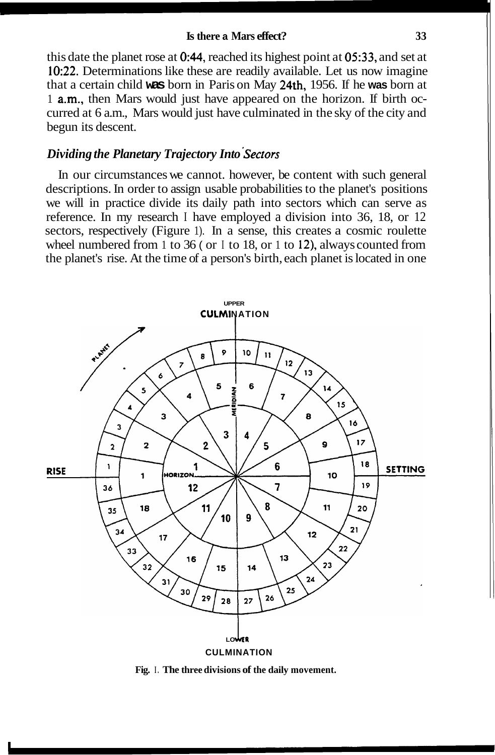#### **Is there a Mars effect? 3 3**

this date the planet rose at  $0.44$ , reached its highest point at  $0.633$ , and set at 10:22. Determinations like these are readily available. Let us now imagine that a certain child **was** born in Paris on May 24th, 1956. If he **was** born at 1 a.m., then Mars would just have appeared on the horizon. If birth occurred at 6 a.m., Mars would just have culminated in the sky of the city and begun its descent.

## *Dividing the Planetary Trajectory Into sectors*

In our circumstances we cannot. however, be content with such general descriptions. In order to assign usable probabilities to the planet's positions we will in practice divide its daily path into sectors which can serve as reference. In my research I have employed a division into 36, 18, or 12 sectors, respectively (Figure 1). In a sense, this creates a cosmic roulette wheel numbered from 1 to 36 ( or I to 18, or 1 to 12), always counted from the planet's rise. At the time of a person's birth, each planet is located in one



**Fig. I. The three divisions of the daily movement.**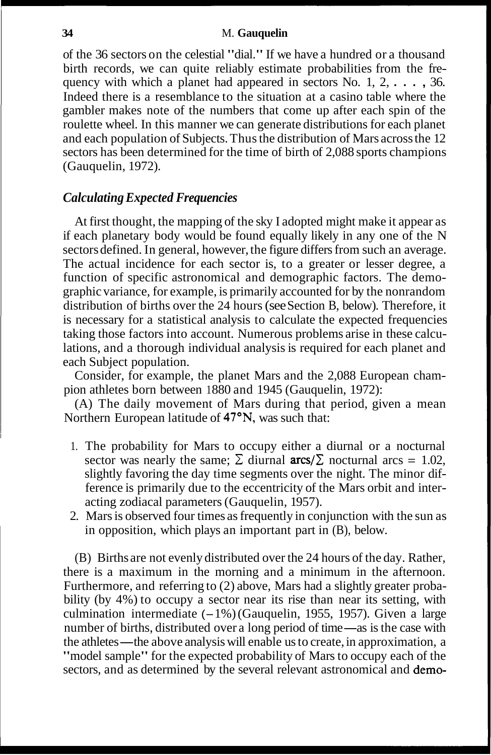of the 36 sectors on the celestial "dial." If we have a hundred or a thousand birth records, we can quite reliably estimate probabilities from the frequency with which a planet had appeared in sectors No. 1, 2, . . . , 36. Indeed there is a resemblance to the situation at a casino table where the gambler makes note of the numbers that come up after each spin of the roulette wheel. In this manner we can generate distributions for each planet and each population of Subjects. Thus the distribution of Mars across the 12 sectors has been determined for the time of birth of 2,088 sports champions (Gauquelin, 1972).

## *Calculating Expected Frequencies*

At first thought, the mapping of the sky I adopted might make it appear as if each planetary body would be found equally likely in any one of the N sectors defined. In general, however, the figure differs from such an average. The actual incidence for each sector is, to a greater or lesser degree, a function of specific astronomical and demographic factors. The demographic variance, for example, is primarily accounted for by the nonrandom distribution of births over the 24 hours (see Section B, below). Therefore, it is necessary for a statistical analysis to calculate the expected frequencies taking those factors into account. Numerous problems arise in these calculations, and a thorough individual analysis is required for each planet and each Subject population.

Consider, for example, the planet Mars and the 2,088 European champion athletes born between 1880 and 1945 (Gauquelin, 1972):

(A) The daily movement of Mars during that period, given a mean Northern European latitude of 47<sup>°</sup>N, was such that:

- 1. The probability for Mars to occupy either a diurnal or a nocturnal sector was nearly the same;  $\Sigma$  diurnal **arcs**/ $\Sigma$  nocturnal arcs = 1.02, slightly favoring the day time segments over the night. The minor difference is primarily due to the eccentricity of the Mars orbit and interacting zodiacal parameters (Gauquelin, 1957).
- 2. Mars is observed four times as frequently in conjunction with the sun as in opposition, which plays an important part in (B), below.

(B) Births are not evenly distributed over the 24 hours of the day. Rather, there is a maximum in the morning and a minimum in the afternoon. Furthermore, and referring to (2) above, Mars had a slightly greater probability (by 4%) to occupy a sector near its rise than near its setting, with bility (by 4%) to occupy a sector near its rise than near its setting, with culmination intermediate  $(-1\%)$  (Gauquelin, 1955, 1957). Given a large number of births, distributed over a long period of time—as is the case wi number of births, distributed over a long period of time—as is the case with the athletes—the above analysis will enable us to create, in approximation, a "model sample" for the expected probability of Mars to occupy each of the sectors, and as determined by the several relevant astronomical and demo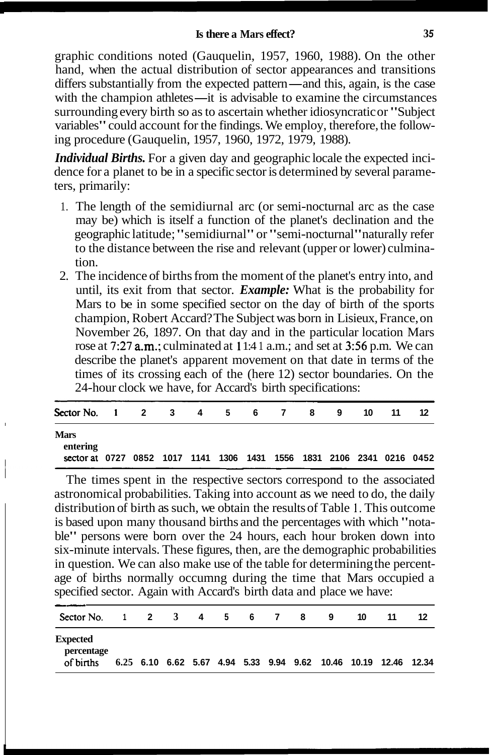graphic conditions noted (Gauquelin, 1957, 1960, 1988). On the other hand, when the actual distribution of sector appearances and transitions graphic conditions noted (Gauquelin, 1957, 1960, 1988). On the other<br>hand, when the actual distribution of sector appearances and transitions<br>differs substantially from the expected pattern—and this, again, is the case<br>wit hand, when the actual distribution of sector appearances and transitions differs substantially from the expected pattern—and this, again, is the case with the champion athletes—it is advisable to examine the circumstances with the champion athletes—it is advisable to examine the circumstances surrounding every birth so as to ascertain whether idiosyncratic or "Subject" variables" could account for the findings. We employ, therefore, the following procedure (Gauquelin, 1957, 1960, 1972, 1979, 1988).

*Individual Births.* For a given day and geographic locale the expected incidence for a planet to be in a specific sector is determined by several parameters, primarily:

- 1. The length of the semidiurnal arc (or semi-nocturnal arc as the case may be) which is itself a function of the planet's declination and the geographic latitude; "semidiurnal" or "semi-nocturnal" naturally refer to the distance between the rise and relevant (upper or lower) culmination.
- 2. The incidence of births from the moment of the planet's entry into, and until, its exit from that sector. *Example:* What is the probability for Mars to be in some specified sector on the day of birth of the sports champion, Robert Accard? The Subject was born in Lisieux, France, on November 26, 1897. On that day and in the particular location Mars rose at 7:27 a.m.; culminated at 1 1:4 1 a.m.; and set at *356* p.m. We can describe the planet's apparent movement on that date in terms of the times of its crossing each of the (here 12) sector boundaries. On the 24-hour clock we have, for Accard's birth specifications:

| Sector No. 1 2 3 4 5 6 7 8 9                                          |  |  |  |  | 10 | -11 |  |
|-----------------------------------------------------------------------|--|--|--|--|----|-----|--|
| <b>Mars</b><br>entering                                               |  |  |  |  |    |     |  |
| sector at 0727 0852 1017 1141 1306 1431 1556 1831 2106 2341 0216 0452 |  |  |  |  |    |     |  |

The times spent in the respective sectors correspond to the associated astronomical probabilities. Taking into account as we need to do, the daily distribution of birth as such, we obtain the results of Table **1.** This outcome is based upon many thousand births and the percentages with which "notable" persons were born over the 24 hours, each hour broken down into six-minute intervals. These figures, then, are the demographic probabilities in question. We can also make use of the table for determining the percentage of births normally occumng during the time that Mars occupied a specified sector. Again with Accard's birth data and place we have:

| Sector No.                                 | $\overline{1}$ | $\overline{\mathbf{2}}$ | 3 4 5 6 7 |  | -8 | 9                                                               | 10 | 11 | 12 |
|--------------------------------------------|----------------|-------------------------|-----------|--|----|-----------------------------------------------------------------|----|----|----|
| <b>Expected</b><br>percentage<br>of births |                |                         |           |  |    | 6.25 6.10 6.62 5.67 4.94 5.33 9.94 9.62 10.46 10.19 12.46 12.34 |    |    |    |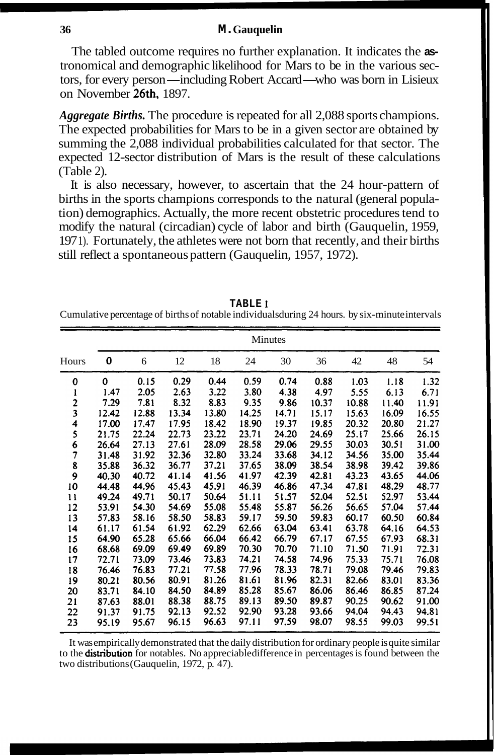The tabled outcome requires no further explanation. It indicates the **as**tronomical and demographic likelihood for Mars to be in the various sectors, for every person—including Robert Accard—who was born in Lisieux on November 26th, 1897.

*Aggregate Births.* The procedure is repeated for all 2,088 sports champions. The expected probabilities for Mars to be in a given sector are obtained by summing the 2,088 individual probabilities calculated for that sector. The expected 12-sector distribution of Mars is the result of these calculations (Table 2).

It is also necessary, however, to ascertain that the 24 hour-pattern of births in the sports champions corresponds to the natural (general population) demographics. Actually, the more recent obstetric procedures tend to modify the natural (circadian) cycle of labor and birth (Gauquelin, 1959, 197 1). Fortunately, the athletes were not born that recently, and their births still reflect a spontaneous pattern (Gauquelin, 1957, 1972).

**TABLE** 1 Cumulative percentage of births of notable individuals during 24 hours. by six-minute intervals

|                          |       | Minutes |       |       |       |       |       |       |       |       |  |  |  |  |  |
|--------------------------|-------|---------|-------|-------|-------|-------|-------|-------|-------|-------|--|--|--|--|--|
| Hours                    | 0     | 6       | 12    | 18    | 24    | 30    | 36    | 42    | 48    | 54    |  |  |  |  |  |
| 0                        | 0     | 0.15    | 0.29  | 0.44  | 0.59  | 0.74  | 0.88  | 1.03  | 1.18  | 1.32  |  |  |  |  |  |
| ı                        | 1.47  | 2.05    | 2.63  | 3.22  | 3.80  | 4.38  | 4.97  | 5.55  | 6.13  | 6.71  |  |  |  |  |  |
| $\frac{2}{3}$            | 7.29  | 7.81    | 8.32  | 8.83  | 9.35  | 9.86  | 10.37 | 10.88 | 11.40 | 11.91 |  |  |  |  |  |
|                          | 12.42 | 12.88   | 13.34 | 13.80 | 14.25 | 14.71 | 15.17 | 15.63 | 16.09 | 16.55 |  |  |  |  |  |
| 4                        | 17.00 | 17.47   | 17.95 | 18.42 | 18.90 | 19.37 | 19.85 | 20.32 | 20.80 | 21.27 |  |  |  |  |  |
| 5                        | 21.75 | 22.24   | 22.73 | 23.22 | 23.71 | 24.20 | 24.69 | 25.17 | 25.66 | 26.15 |  |  |  |  |  |
| 6                        | 26.64 | 27.13   | 27.61 | 28.09 | 28.58 | 29.06 | 29.55 | 30.03 | 30.51 | 31.00 |  |  |  |  |  |
| $\overline{\phantom{a}}$ | 31.48 | 31.92   | 32.36 | 32.80 | 33.24 | 33.68 | 34.12 | 34.56 | 35.00 | 35.44 |  |  |  |  |  |
| 8                        | 35.88 | 36.32   | 36.77 | 37.21 | 37.65 | 38.09 | 38.54 | 38.98 | 39.42 | 39.86 |  |  |  |  |  |
| 9                        | 40.30 | 40.72   | 41.14 | 41.56 | 41.97 | 42.39 | 42.81 | 43.23 | 43.65 | 44.06 |  |  |  |  |  |
| 10                       | 44.48 | 44.96   | 45.43 | 45.91 | 46.39 | 46.86 | 47.34 | 47.81 | 48.29 | 48.77 |  |  |  |  |  |
| 11                       | 49.24 | 49.71   | 50.17 | 50.64 | 51.11 | 51.57 | 52.04 | 52.51 | 52.97 | 53.44 |  |  |  |  |  |
| 12                       | 53.91 | 54.30   | 54.69 | 55.08 | 55.48 | 55.87 | 56.26 | 56.65 | 57.04 | 57.44 |  |  |  |  |  |
| 13                       | 57.83 | 58.16   | 58.50 | 58.83 | 59.17 | 59.50 | 59.83 | 60.17 | 60.50 | 60.84 |  |  |  |  |  |
| 14                       | 61.17 | 61.54   | 61.92 | 62.29 | 62.66 | 63.04 | 63.41 | 63.78 | 64.16 | 64.53 |  |  |  |  |  |
| 15                       | 64.90 | 65.28   | 65.66 | 66.04 | 66.42 | 66.79 | 67.17 | 67.55 | 67.93 | 68.31 |  |  |  |  |  |
| 16                       | 68.68 | 69.09   | 69.49 | 69.89 | 70.30 | 70.70 | 71.10 | 71.50 | 71.91 | 72.31 |  |  |  |  |  |
| 17                       | 72.71 | 73.09   | 73.46 | 73.83 | 74.21 | 74.58 | 74.96 | 75.33 | 75.71 | 76.08 |  |  |  |  |  |
| 18                       | 76.46 | 76.83   | 77.21 | 77.58 | 77.96 | 78.33 | 78.71 | 79.08 | 79.46 | 79.83 |  |  |  |  |  |
| 19                       | 80.21 | 80.56   | 80.91 | 81.26 | 81.61 | 81.96 | 82.31 | 82.66 | 83.01 | 83.36 |  |  |  |  |  |
| 20                       | 83.71 | 84.10   | 84.50 | 84.89 | 85.28 | 85.67 | 86.06 | 86.46 | 86.85 | 87.24 |  |  |  |  |  |
| 21                       | 87.63 | 88.01   | 88.38 | 88.75 | 89.13 | 89.50 | 89.87 | 90.25 | 90.62 | 91.00 |  |  |  |  |  |
| 22                       | 91.37 | 91.75   | 92.13 | 92.52 | 92.90 | 93.28 | 93.66 | 94.04 | 94.43 | 94.81 |  |  |  |  |  |
| 23                       | 95.19 | 95.67   | 96.15 | 96.63 | 97.11 | 97.59 | 98.07 | 98.55 | 99.03 | 99.51 |  |  |  |  |  |

It was empirically demonstrated that the daily distribution for ordinary people is quite similar to the **distribution** for notables. No appreciable difference in percentages is found between the two distributions (Gauquelin, 1972, p. 47).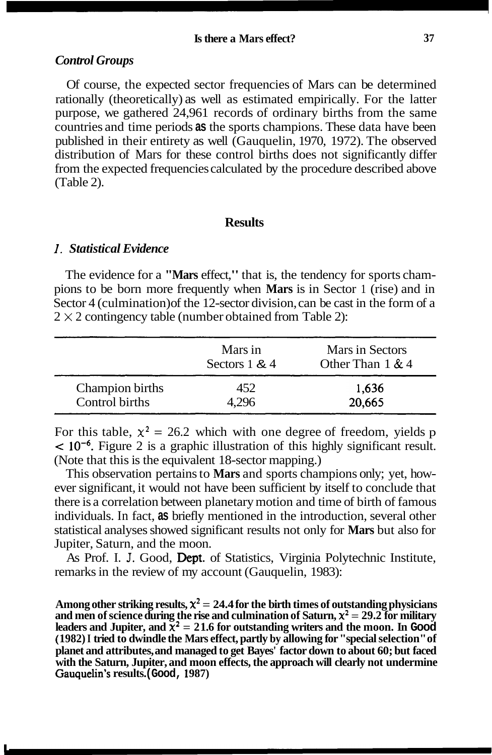#### *Control Groups*

Of course, the expected sector frequencies of Mars can be determined rationally (theoretically) as well as estimated empirically. For the latter purpose, we gathered 24,961 records of ordinary births from the same countries and time periods **as** the sports champions. These data have been published in their entirety as well (Gauquelin, 1970, 1972). The observed distribution of Mars for these control births does not significantly differ from the expected frequencies calculated by the procedure described above (Table 2).

#### **Results**

## *I. Statistical Evidence*

The evidence for a **"Mars** effect," that is, the tendency for sports champions to be born more frequently when **Mars** is in Sector 1 (rise) and in Sector 4 (culmination) of the 12-sector division, can be cast in the form of a  $2 \times 2$  contingency table (number obtained from Table 2):

|                 | Mars in<br>Sectors $1 \& 4$ | Mars in Sectors<br>Other Than $1 \& 4$ |
|-----------------|-----------------------------|----------------------------------------|
| Champion births | 452                         | 1,636                                  |
| Control births  | . 296                       | 20,665                                 |

For this table,  $\chi^2 = 26.2$  which with one degree of freedom, yields p  $\leq 10^{-6}$ . Figure 2 is a graphic illustration of this highly significant result. (Note that this is the equivalent 18-sector mapping.)

This observation pertains to **Mars** and sports champions only; yet, however significant, it would not have been sufficient by itself to conclude that there is a correlation between planetary motion and time of birth of famous individuals. In fact, **as** briefly mentioned in the introduction, several other statistical analyses showed significant results not only for **Mars** but also for Jupiter, Saturn, and the moon.

As Prof. I. J. Good, Dept. of Statistics, Virginia Polytechnic Institute, remarks in the review of my account (Gauquelin, 1983):

Among other striking results,  $\chi^2 = 24.4$  for the birth times of outstanding physicians and men of science during the rise and culmination of Saturn,  $\chi^2 = 29.2$  for military leaders and Jupiter, and  $\bar{x}^2 = 21.6$  for outstanding writers and the moon. In Good ( **1982) I tried to dwindle the Mars effect, partly by allowing for "special selection" of planet and attributes, and managed to get Bayes' factor down to about 60; but faced with the Saturn, Jupiter, and moon effects, the approach will clearly not undermine Gauquelin's results. (Good, 1 987)**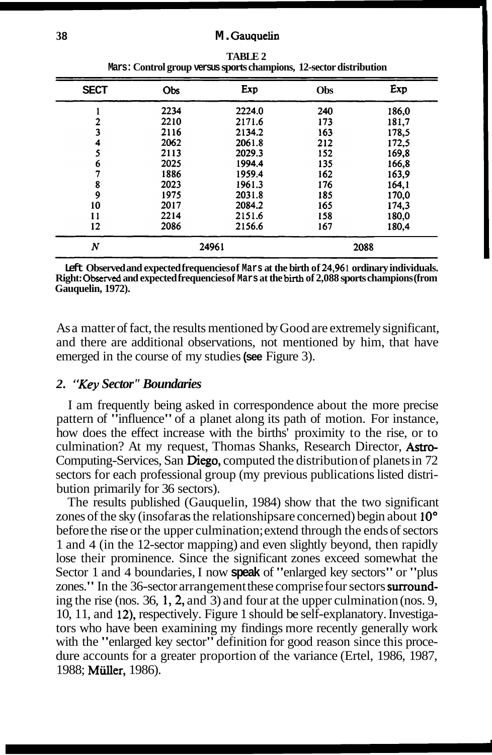| <b>SECT</b>      | Obs  | Exp    | <b>Obs</b> | Exp   |
|------------------|------|--------|------------|-------|
|                  | 2234 | 2224.0 | 240        | 186,0 |
|                  | 2210 | 2171.6 | 173        | 181,7 |
| 3                | 2116 | 2134.2 | 163        | 178.5 |
| 4                | 2062 | 2061.8 | 212        | 172.5 |
| 5                | 2113 | 2029.3 | 152        | 169,8 |
| 6                | 2025 | 1994.4 | 135        | 166,8 |
| 7                | 1886 | 1959.4 | 162        | 163.9 |
| 8                | 2023 | 1961.3 | 176        | 164,1 |
| 9                | 1975 | 2031.8 | 185        | 170,0 |
| 10               | 2017 | 2084.2 | 165        | 174,3 |
| 11               | 2214 | 2151.6 | 158        | 180,0 |
| 12               | 2086 | 2156.6 | 167        | 180,4 |
| $\boldsymbol{N}$ |      | 24961  |            | 2088  |

**TABLE 2 Mars: Control group versus sports champions, 12-sector distribution** 

**Left Observed and expected frequencies of Mars at the birth of 24,96 1 ordinary individuals. Right: Observed and expected frequencies of Mars at the birth of 2,088 sports champions (from Gauquelin, 1972).** 

As a matter of fact, the results mentioned by Good are extremely significant, and there are additional observations, not mentioned by him, that have emerged in the course of my studies **(see** Figure 3).

## *2. "Key Sector" Boundaries*

I am frequently being asked in correspondence about the more precise pattern of "influence" of a planet along its path of motion. For instance, how does the effect increase with the births' proximity to the rise, or to culmination? At my request, Thomas Shanks, Research Director, Astro-Computing-Services, San Diego, computed the distribution of planets in 72 sectors for each professional group (my previous publications listed distribution primarily for 36 sectors).

The results published (Gauquelin, 1984) show that the two significant zones of the sky (insofar as the relationships are concerned) begin about 10<sup>°</sup> before the rise or the upper culmination; extend through the ends of sectors 1 and 4 (in the 12-sector mapping) and even slightly beyond, then rapidly lose their prominence. Since the significant zones exceed somewhat the Sector 1 and 4 boundaries, I now **speak** of "enlarged key sectors" or "plus zones." In the 36-sector arrangement these comprise four sectors surrounding the rise (nos. 36, 1, 2, and 3) and four at the upper culmination (nos. 9, 10, 11, and 12), respectively. Figure 1 should be self-explanatory. Investigators who have been examining my findings more recently generally work with the "enlarged key sector" definition for good reason since this procedure accounts for a greater proportion of the variance (Ertel, 1986, 1987, 1988; **Müller**, 1986).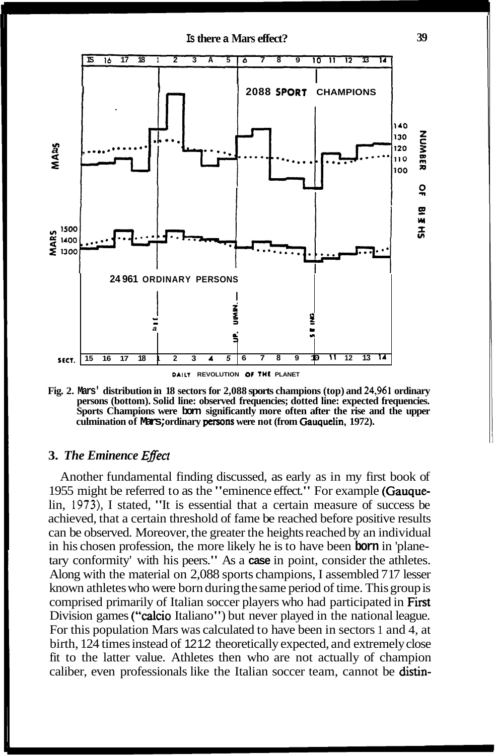

**Fig. 2. Mars' distribution in 18 sectors for 2,088 sports champions (top) and 24,96 1 ordinary persons (bottom). Solid line: observed frequencies; dotted line: expected frequencies. Sports Champions were born significantly more often after the rise and the upper culmination of Mars; ordinary persons were not (from Gauquelin, 1972).** 

## **3.** *The Eminence ENect*

Another fundamental finding discussed, as early as in my first book of 1955 might be referred to as the "eminence effect." For example (Gauquelin, **1973),** I stated, "It is essential that a certain measure of success be achieved, that a certain threshold of fame be reached before positive results can be observed. Moreover, the greater the heights reached by an individual in his chosen profession, the more likely he is to have been **born** in 'planetary conformity' with his peers." As a **case** in point, consider the athletes. Along with the material on 2,088 sports champions, I assembled 7 17 lesser known athletes who were born during the same period of time. This group is comprised primarily of Italian soccer players who had participated in First Division games ("calcio Italiano") but never played in the national league. For this population Mars was calculated to have been in sectors 1 and 4, at birth, 124 times instead of 121.2 theoretically expected, and extremely close fit to the latter value. Athletes then who are not actually of champion caliber, even professionals like the Italian soccer team, cannot be distin-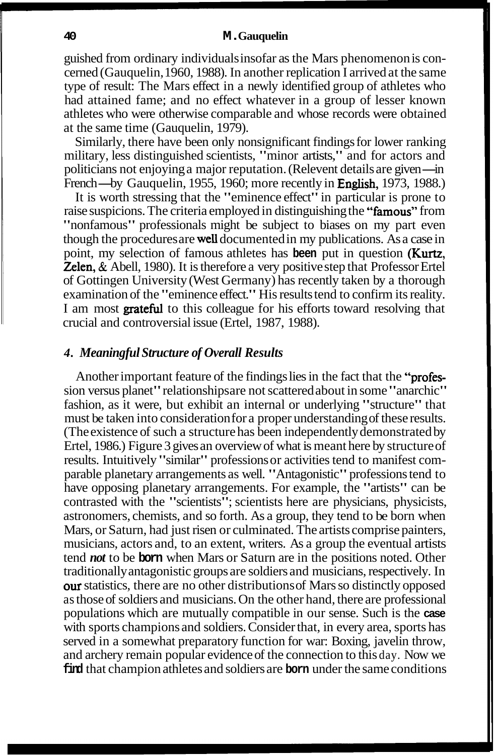guished from ordinary individuals insofar as the Mars phenomenon is concerned (Gauquelin, 1960, 1988). In another replication I arrived at the same type of result: The Mars effect in a newly identified group of athletes who had attained fame; and no effect whatever in a group of lesser known athletes who were otherwise comparable and whose records were obtained at the same time (Gauquelin, 1979).

Similarly, there have been only nonsignificant findings for lower ranking Similarly, there have been only nonsignificant findings for lower ranking<br>military, less distinguished scientists, "minor artists," and for actors and<br>politicians not enjoying a major reputation. (Relevent details are give politicians not enjoying a major reputation. (Relevent details are given—in French—by Gauquelin, 1955, 1960; more recently in **English**, 1973, 1988.)

It is worth stressing that the "eminence effect" in particular is prone to raise suspicions. The criteria employed in distinguishing the "famous" from "nonfamous" professionals might be subject to biases on my part even though the procedures are well documented in my publications. As a case in point, my selection of famous athletes has **been** put in question (Kurtz, **Zelen, & Abell, 1980). It is therefore a very positive step that Professor Ertel** of Gottingen University (West Germany) has recently taken by a thorough examination of the "eminence effect." His results tend to confirm its reality. I am most **grateful** to this colleague for his efforts toward resolving that crucial and controversial issue (Ertel, 1987, 1988).

# *4. Meaningful Structure of Overall Results*

Another important feature of the findings lies in the fact that the "profession versus planet" relationships are not scattered about in some "anarchic" fashion, as it were, but exhibit an internal or underlying "structure" that must be taken into consideration for a proper understanding of these results. (The existence of such a structure has been independently demonstrated by Ertel, 1986.) Figure 3 gives an overview of what is meant here by structure of results. Intuitively "similar" professions or activities tend to manifest comparable planetary arrangements as well. "Antagonistic" professions tend to have opposing planetary arrangements. For example, the "artists" can be contrasted with the "scientists"; scientists here are physicians, physicists, astronomers, chemists, and so forth. As a group, they tend to be born when Mars, or Saturn, had just risen or culminated. The artists comprise painters, musicians, actors and, to an extent, writers. As a group the eventual artists tend *not* to be **born** when Mars or Saturn are in the positions noted. Other traditionally antagonistic groups are soldiers and musicians, respectively. In ow statistics, there are no other distributions of Mars so distinctly opposed as those of soldiers and musicians. On the other hand, there are professional populations which are mutually compatible in our sense. Such is the **case**  with sports champions and soldiers. Consider that, in every area, sports has served in a somewhat preparatory function for war: Boxing, javelin throw, and archery remain popular evidence of the connection to this day. Now we **find** that champion athletes and soldiers are **born** under the same conditions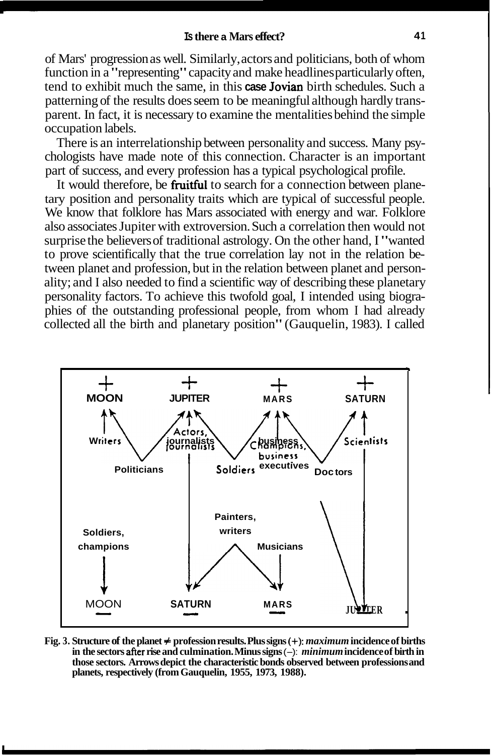of Mars' progression as well. Similarly, actors and politicians, both of whom function in a "representing" capacity and make headlines particularly often, tend to exhibit much the same, in this **case** Jovian birth schedules. Such a patterning of the results does seem to be meaningful although hardly transparent. In fact, it is necessary to examine the mentalities behind the simple occupation labels.

There is an interrelationship between personality and success. Many psychologists have made note of this connection. Character is an important part of success, and every profession has a typical psychological profile.

It would therefore, be **fruitful** to search for a connection between planetary position and personality traits which are typical of successful people. We know that folklore has Mars associated with energy and war. Folklore also associates Jupiter with extroversion. Such a correlation then would not surprise the believers of traditional astrology. On the other hand, I "wanted to prove scientifically that the true correlation lay not in the relation between planet and profession, but in the relation between planet and personality; and I also needed to find a scientific way of describing these planetary personality factors. To achieve this twofold goal, I intended using biographies of the outstanding professional people, from whom I had already collected all the birth and planetary position" (Gauquelin, 1983). I called



**Fig. 3. Structure of the planet** # **profession results. Plus signs** (+): *maximum* **incidence of births in the sectors after rise and culmination. Minus signs** (-): *minimum* **incidence of birth in those sectors. Arrows depict the characteristic bonds observed between professions and planets, respectively (from Gauquelin, 1955, 1973, 1988).**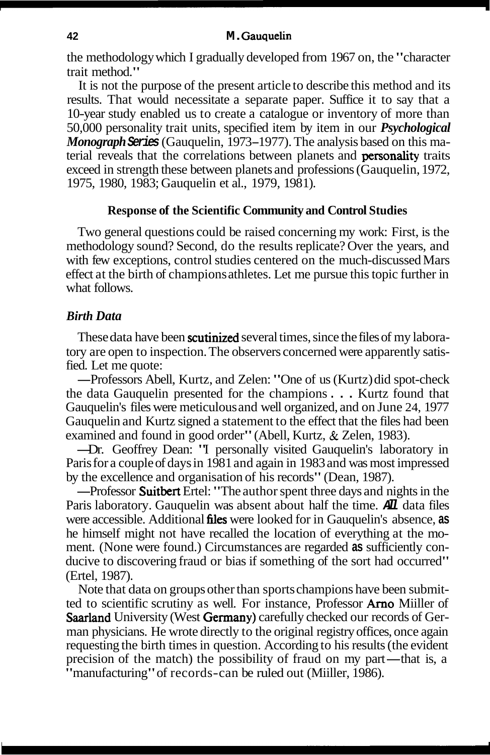the methodology which I gradually developed from 1967 on, the "character trait method."

It is not the purpose of the present article to describe this method and its results. That would necessitate a separate paper. Suffice it to say that a 10-year study enabled us to create a catalogue or inventory of more than 50,000 personality trait units, specified item by item in our *Psychological Monograph* **Series** (Gauquelin, 1973- 1977). The analysis based on this material reveals that the correlations between planets and personality traits exceed in strength these between planets and professions (Gauquelin, 1972, 1975, 1980, 1983; Gauquelin et al., 1979, 198 1).

## **Response of the Scientific Community and Control Studies**

Two general questions could be raised concerning my work: First, is the methodology sound? Second, do the results replicate? Over the years, and with few exceptions, control studies centered on the much-discussed Mars effect at the birth of champions athletes. Let me pursue this topic further in what follows.

## *Birth Data*

These data have been **scutinized** several times, since the files of my laboratory are open to inspection. The observers concerned were apparently satisfied. Let me quote:

-Professors Abell, Kurtz, and Zelen: "One of us (Kurtz) did spot-check the data Gauquelin presented for the champions . . . Kurtz found that Gauquelin's files were meticulous and well organized, and on June 24, 1977 Gauquelin and Kurtz signed a statement to the effect that the files had been examined and found in good order" (Abell, Kurtz, & Zelen, 1983).

-Dr. Geoffrey Dean: "I personally visited Gauquelin's laboratory in Paris for a couple of days in 1981 and again in 1983 and was most impressed by the excellence and organisation of his records" (Dean, 1987).

-Professor Suitbert Ertel: "The author spent three days and nights in the Paris laboratory. Gauquelin was absent about half the time. **All** data files were accessible. Additional files were looked for in Gauquelin's absence, **as**  he himself might not have recalled the location of everything at the moment. (None were found.) Circumstances are regarded **as** sufficiently conducive to discovering fraud or bias if something of the sort had occurred" (Ertel, 1987).

Note that data on groups other than sports champions have been submitted to scientific scrutiny as well. For instance, Professor Arno Miiller of Saarland University (West Germany) carefully checked our records of German physicians. He wrote directly to the original registry offices, once again requesting the birth times in question. According to his results (the evident man physicians. He wrote directly to the original registry offices, once again requesting the birth times in question. According to his results (the evident precision of the match) the possibility of fraud on my part—that precision of the match) the possibility of fraud on my part—that is, a "manufacturing" of records-can be ruled out (Miiller, 1986).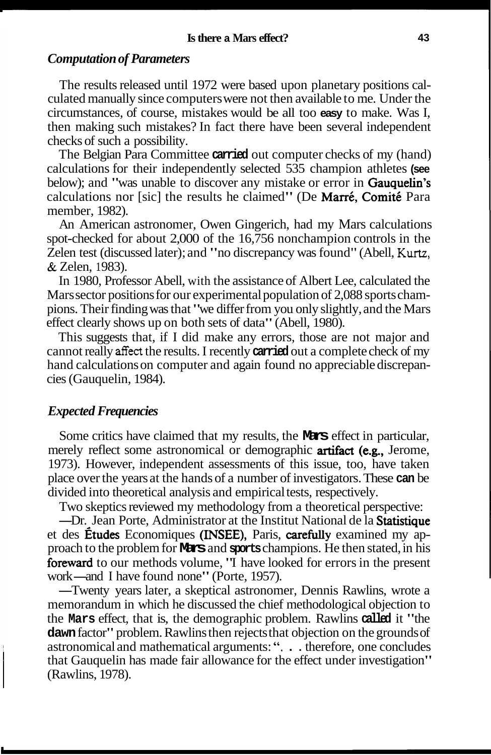## *Computation of Parameters*

The results released until 1972 were based upon planetary positions calculated manually since computers were not then available to me. Under the circumstances, of course, mistakes would be all too **easy** to make. Was I, then making such mistakes? In fact there have been several independent checks of such a possibility.

The Belgian Para Committee **carried** out computer checks of my (hand) calculations for their independently selected 535 champion athletes **(see**  below); and "was unable to discover any mistake or error in **Gauquelin's** calculations nor [sic] the results he claimed" (De Marré, Comité Para member, 1982).

An American astronomer, Owen Gingerich, had my Mars calculations spot-checked for about 2,000 of the 16,756 nonchampion controls in the Zelen test (discussed later); and "no discrepancy was found" (Abell, **Kurtz,**  & Zelen, 1983).

In 1980, Professor Abell, with the assistance of Albert Lee, calculated the Mars sector positions for our experimental population of 2,088 sports champions. Their finding was that "we differ from you only slightly, and the Mars effect clearly shows up on both sets of data" (Abell, 1980).

This suggests that, if I did make any errors, those are not major and cannot really affect the results. I recently **carried** out a complete check of my hand calculations on computer and again found no appreciable discrepancies (Gauquelin, 1984).

## *Expected Frequencies*

Some critics have claimed that my results, the **Mars** effect in particular, merely reflect some astronomical or demographic **artifact** (e.g., Jerome, 1973). However, independent assessments of this issue, too, have taken place over the years at the hands of a number of investigators. These **can** be divided into theoretical analysis and empirical tests, respectively.

Two skeptics reviewed my methodology from a theoretical perspective:

---Dr. Jean Porte, Administrator at the Institut National de la Statistique et des **Études** Economiques (INSEE), Paris, carefully examined my approach to the problem for **Mars** and **sports** champions. He then stated, in his proach to the problem for **METS** and **sports** champions. He then stated, in his **foreward** to our methods volume, 'T have looked for errors in the present work—and I have found none" (Porte, 1957).<br>Twenty years later a ske reward to our methods volume, 'T have looked for errors in the present<br>ork—and I have found none'' (Porte, 1957).<br>—Twenty years later, a skeptical astronomer, Dennis Rawlins, wrote a<br>nemorandum in which he discussed the ch

memorandum in which he discussed the chief methodological objection to the **Mars** effect, that is, the demographic problem. Rawlins **called** it "the **dawn** factor" problem. Rawlins then rejects that objection on the grounds of astronomical and mathematical arguments: ". . . therefore, one concludes that Gauquelin has made fair allowance for the effect under investigation" (Rawlins, 1978).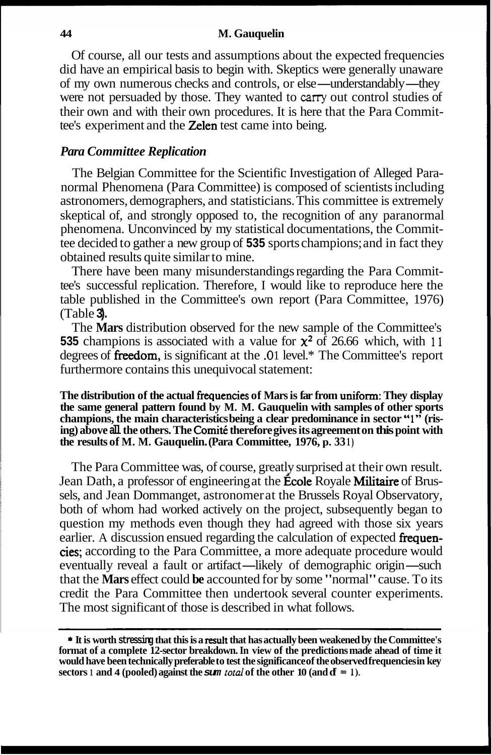Of course, all our tests and assumptions about the expected frequencies did have an empirical basis to begin with. Skeptics were generally unaware Of course, all our tests and assumptions about the expected frequencies<br>did have an empirical basis to begin with. Skeptics were generally unaware<br>of my own numerous checks and controls, or else—understandably—they<br>were no were not persuaded by those. They wanted to *cany* out control studies of their own and with their own procedures. It is here that the Para Committee's experiment and the Zelen test came into being.

## *Para Committee Replication*

The Belgian Committee for the Scientific Investigation of Alleged Paranormal Phenomena (Para Committee) is composed of scientists including astronomers, demographers, and statisticians. This committee is extremely skeptical of, and strongly opposed to, the recognition of any paranormal phenomena. Unconvinced by my statistical documentations, the Committee decided to gather a new group of **535** sports champions; and in fact they obtained results quite similar to mine.

There have been many misunderstandings regarding the Para Committee's successful replication. Therefore, I would like to reproduce here the table published in the Committee's own report (Para Committee, 1976) (Table **3).** 

The **Mars** distribution observed for the new sample of the Committee's **535** champions is associated with a value for  $\chi^2$  of 26.66 which, with 11 degrees of fieedom, is significant at the **.0** 1 level.\* The Committee's report furthermore contains this unequivocal statement:

**The distribution of the actual fiequencies of Mars is far from uniform: They display the same general pattern found by M. M. Gauquelin with samples of other sports champions, the main characteristics being a clear predominance in sector** " 1" **(ris- ing) above all the others. The Comite therefore gives its agreement on this point with the results of M. M. Gauquelin. (Para Committee, 1976, p. 33 1)** 

The Para Committee was, of course, greatly surprised at their own result. Jean Dath, a professor of engineering at the **École Royale Militaire** of Brussels, and Jean Dommanget, astronomer at the Brussels Royal Observatory, both of whom had worked actively on the project, subsequently began to question my methods even though they had agreed with those six years earlier. A discussion ensued regarding the calculation of expected frequencies; according to the Para Committee, a more adequate procedure would earlier. A discussion ensued regarding the calculation of expected **frequencies**; according to the Para Committee, a more adequate procedure would eventually reveal a fault or artifact—likely of demographic origin—such tha eventually reveal a fault or artifact—likely of demographic origin—such that the **Mars** effect could be accounted for by some "normal" cause. To its credit the Para Committee then undertook several counter experiments. The most significant of those is described in what follows.

<sup>\*</sup> **It is worth stressing that this is a result that has actually been weakened by the Committee's format of a complete 12-sector breakdown. In view of the predictions made ahead of time it would have been technically preferable to test the significance of the observed frequencies in key sectors 1 and 4 (pooled) against the sum** *total* **of the other 10 (and**  $\mathbf{d} = 1$ **).**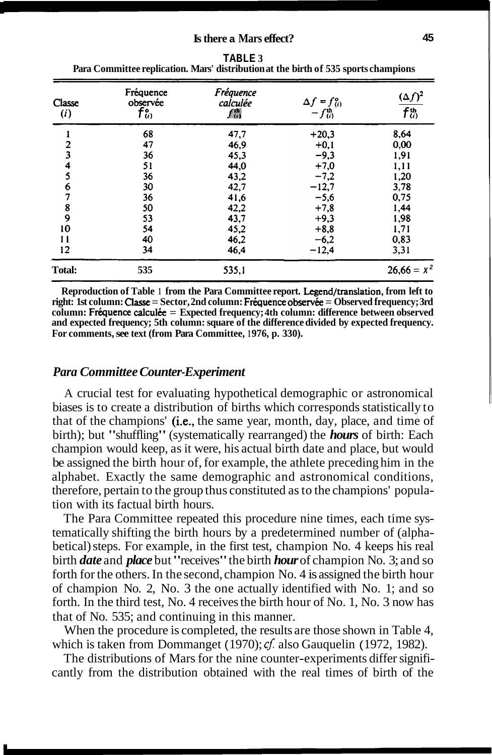| Classe<br>(i)           | Fréquence<br>observée<br>$f_0^{\circ}$ | Fréquence<br>calculée<br>A | $\Delta f = f_{(i)}^{\circ}$<br>$-f_{(i)}^{\text{th}}$ | $(\Delta f)^2$<br>$f^{\rm th}_{\langle i \rangle}$ |
|-------------------------|----------------------------------------|----------------------------|--------------------------------------------------------|----------------------------------------------------|
|                         | 68                                     | 47,7                       | $+20,3$                                                | 8,64                                               |
| $\overline{2}$          | 47                                     | 46,9                       | $+0,1$                                                 | 0,00                                               |
| $\overline{\mathbf{3}}$ | 36                                     | 45,3                       | $-9,3$                                                 | 1,91                                               |
| 4                       | 51                                     | 44,0                       | $+7,0$                                                 | 1,11                                               |
| 5                       | 36                                     | 43,2                       | $-7,2$                                                 | 1,20                                               |
| 6                       | 30                                     | 42,7                       | $-12,7$                                                | 3,78                                               |
| 7                       | 36                                     | 41,6                       | $-5,6$                                                 | 0,75                                               |
| 8                       | 50                                     | 42,2                       | $+7,8$                                                 | 1,44                                               |
| 9                       | 53                                     | 43,7                       | $+9.3$                                                 | 1,98                                               |
| 10                      | 54                                     | 45,2                       | $+8,8$                                                 | 1,71                                               |
| 11                      | 40                                     | 46,2                       | $-6,2$                                                 | 0,83                                               |
| 12                      | 34                                     | 46.4                       | $-12,4$                                                | 3,31                                               |
| Total:                  | 535                                    | 535,1                      |                                                        | $26.66 = X^2$                                      |

| TABLE 3                                                                             |
|-------------------------------------------------------------------------------------|
| Para Committee replication. Mars' distribution at the birth of 535 sports champions |

**Reproduction of Table 1 from the Para Committee report. Legend/translation, from left to right: 1st column: Classe = Sector, 2nd column: Fréquence observée = Observed frequency; 3rd column: Fr6quence calculke** = **Expected frequency; 4th column: difference between observed and expected frequency; 5th column: square of the difference divided by expected frequency.**  For comments, see text (from Para Committee, 1976, p. 330).

#### *Para Committee Counter-Experiment*

A crucial test for evaluating hypothetical demographic or astronomical biases is to create a distribution of births which corresponds statistically to that of the champions' (i.e., the same year, month, day, place, and time of birth); but "shuffling" (systematically rearranged) the *hours* of birth: Each champion would keep, as it were, his actual birth date and place, but would be assigned the birth hour of, for example, the athlete preceding him in the alphabet. Exactly the same demographic and astronomical conditions, therefore, pertain to the group thus constituted as to the champions' population with its factual birth hours.

The Para Committee repeated this procedure nine times, each time systematically shifting the birth hours by a predetermined number of (alphabetical) steps. For example, in the first test, champion No. 4 keeps his real birth *date* and *place* but "receives" the birth *hour* of champion No. 3; and so forth for the others. In the second, champion No. 4 is assigned the birth hour of champion No. 2, No. 3 the one actually identified with No. 1; and so forth. In the third test, No. 4 receives the birth hour of No. 1, No. 3 now has that of No. 535; and continuing in this manner.

When the procedure is completed, the results are those shown in Table 4, which is taken from Dommanget (1970); cf. also Gauquelin (1972, 1982).

The distributions of Mars for the nine counter-experiments differ significantly from the distribution obtained with the real times of birth of the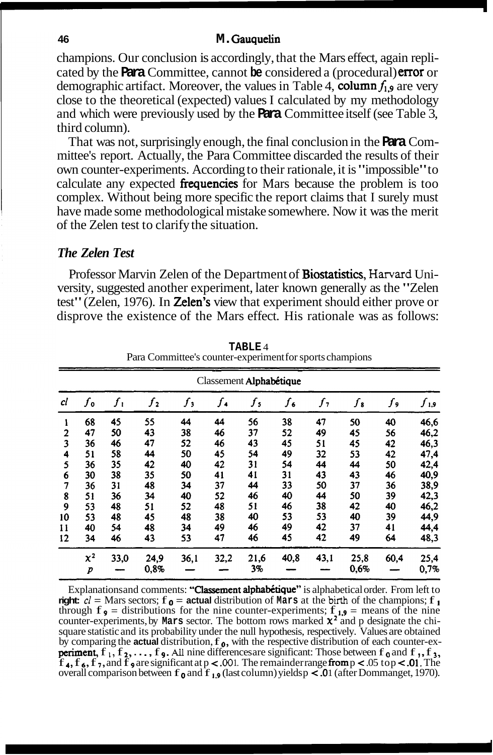champions. Our conclusion is accordingly, that the Mars effect, again replicated by the **Para** Committee, cannot **be** considered a (procedural) error or demographic artifact. Moreover, the values in Table 4, column  $f_{1,9}$  are very close to the theoretical (expected) values I calculated by my methodology and which were previously used by the **Para** Committee itself (see Table 3, third column).

That was not, surprisingly enough, the final conclusion in the **Para** Committee's report. Actually, the Para Committee discarded the results of their own counter-experiments. According to their rationale, it is "impossible" to calculate any expected **frequencies** for Mars because the problem is too complex. Without being more specific the report claims that I surely must have made some methodological mistake somewhere. Now it was the merit of the Zelen test to clarify the situation.

#### *The Zelen Test*

Professor Marvin Zelen of the Department of Biostatistics, **Harvard** University, suggested another experiment, later known generally as the "Zelen test" (Zelen, 1976). In **Zelen's** view that experiment should either prove or disprove the existence of the Mars effect. His rationale was as follows:

|                | Classement Alphabétique |       |         |       |               |                    |                      |      |         |      |        |  |
|----------------|-------------------------|-------|---------|-------|---------------|--------------------|----------------------|------|---------|------|--------|--|
| cl             | $f_{\mathfrak{o}}$      | $f_1$ | $f_{2}$ | $f_3$ | $f_{\bullet}$ | $f_{\mathfrak{s}}$ | $f_{\boldsymbol{6}}$ | ſ,   | $f_{3}$ | ſ,   | و,ر کر |  |
| 1              | 68                      | 45    | 55      | 44    | 44            | 56                 | 38                   | 47   | 50      | 40   | 46,6   |  |
| $\overline{2}$ | 47                      | 50    | 43      | 38    | 46            | 37                 | 52                   | 49   | 45      | 56   | 46,2   |  |
| 3              | 36                      | 46    | 47      | 52    | 46            | 43                 | 45                   | 51   | 45      | 42   | 46,3   |  |
| 4              | 51                      | 58    | 44      | 50    | 45            | 54                 | 49                   | 32   | 53      | 42   | 47,4   |  |
| 5              | 36                      | 35    | 42      | 40    | 42            | 31                 | 54                   | 44   | 44      | 50   | 42,4   |  |
| 6              | 30                      | 38    | 35      | 50    | 41            | 41                 | 31                   | 43   | 43      | 46   | 40,9   |  |
| 7              | 36                      | 31    | 48      | 34    | 37            | 44                 | 33                   | 50   | 37      | 36   | 38,9   |  |
| 8              | 51                      | 36    | 34      | 40    | 52            | 46                 | 40                   | 44   | 50      | 39   | 42,3   |  |
| 9              | 53                      | 48    | 51      | 52    | 48            | 51                 | 46                   | 38   | 42      | 40   | 46,2   |  |
| 10             | 53                      | 48    | 45      | 48    | 38            | 40                 | 53                   | 53   | 40      | 39   | 44,9   |  |
| 11             | 40                      | 54    | 48      | 34    | 49            | 46                 | 49                   | 42   | 37      | 41   | 44,4   |  |
| 12             | 34                      | 46    | 43      | 53    | 47            | 46                 | 45                   | 42   | 49      | 64   | 48,3   |  |
|                | $x^2$                   | 33,0  | 24,9    | 36,1  | 32,2          | 21,6               | 40,8                 | 43,1 | 25,8    | 60,4 | 25,4   |  |
|                | p                       |       | 0.8%    |       |               | 3%                 |                      |      | 0,6%    |      | 0,7%   |  |

**TABLE** 4 Para Committee's counter-experiment for sports champions

Explanations and comments: "Classement alphabétique" is alphabetical order. From left to **right:**  $c\ell$  = Mars sectors;  $f \rho$  = **actual** distribution of **Mars** at the birth of the champions;  $f \rho$ through  $f \cdot u = \text{under vectors}, f \cdot u = \text{equation of } \text{matrix and } \text{matrix of } \text{int}$  of the champions,  $f \cdot u = \text{matrix vectors}, f \cdot u = \text{distance of } \text{matrix of } \text{matrix.}$ <br>through  $f \cdot u = \text{distributions for the nine counter-experiments; } f \cdot u = \text{means of the nine counter-experiments, by Mars sector. The bottom rows marked  $\chi^2$  and p designate the chi$ square statistic and its probability under the null hypothesis, respectively. Values are obtained<br>by comparing the **actual** distribution,  $f_0$ , with the respective distribution of each counter-ex-<br>**periment**,  $f_1, f_2, \ld$ **periment,**  $f_1, f_2, \ldots, f_9$ . All nine differences are significant: Those between  $f_0$  and  $f_1, f_3$ ,  $f_4, f_6, f_7$ , and  $f_9$  are significant at  $p < .001$ . The remainder range **from**  $p < .05$  to  $p < .01$ . The overall comparison between  $f_0$  and  $f_1$ , (last column) yields  $p < 0$  1 (after Dommanget, 1970).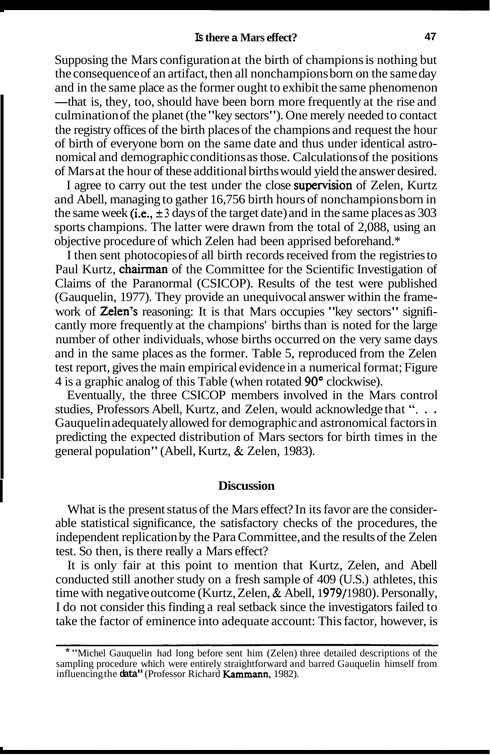Supposing the Mars configuration at the birth of champions is nothing but the consequence of an artifact, then all nonchampions born on the same day and in the same place as the former ought to exhibit the same phenomenon the consequence of an artifact, then all nonchampions born on the same day<br>and in the same place as the former ought to exhibit the same phenomenon<br>—that is, they, too, should have been born more frequently at the rise and —that is, they, too, should have been born more frequently at the rise and culmination of the planet (the "key sectors"). One merely needed to contact the registry offices of the birth places of the champions and request the hour of birth of everyone born on the same date and thus under identical astronomical and demographic conditions as those. Calculations of the positions of Mars at the hour of these additional births would yield the answer desired.

I agree to carry out the test under the close supervision of Zelen, Kurtz and Abell, managing to gather 16,756 birth hours of nonchampions born in the same week (i.e.,  $\pm 3$  days of the target date) and in the same places as 303 sports champions. The latter were drawn from the total of 2,088, using an objective procedure of which Zelen had been apprised beforehand.\*

I then sent photocopies of all birth records received from the registries to Paul Kurtz, chairman of the Committee for the Scientific Investigation of Claims of the Paranormal (CSICOP). Results of the test were published (Gauquelin, 1977). They provide an unequivocal answer within the framework of Zelen's reasoning: It is that Mars occupies "key sectors" significantly more frequently at the champions' births than is noted for the large number of other individuals, whose births occurred on the very same days and in the same places as the former. Table 5, reproduced from the Zelen test report, gives the main empirical evidence in a numerical format; Figure 4 is a graphic analog of this Table (when rotated 90" clockwise).

Eventually, the three CSICOP members involved in the Mars control studies, Professors Abell, Kurtz, and Zelen, would acknowledge that ". . . Gauquelin adequately allowed for demographic and astronomical factors in predicting the expected distribution of Mars sectors for birth times in the general population" (Abell, Kurtz, & Zelen, 1983).

**Discussion**<br>
What is the present status of the Mars effect? In its favor are the considerable statistical significance, the satisfactory checks of the procedures, the independent replication by the Para Committee, and the results of the Zelen test. So then, is there really a Mars effect?

> It is only fair at this point to mention that Kurtz, Zelen, and Abell conducted still another study on a fresh sample of 409 (U.S.) athletes, this time with negative outcome (Kurtz, Zelen,  $&$  Abell, 1979/1980). Personally, I do not consider this finding a real setback since the investigators failed to take the factor of eminence into adequate account: This factor, however, is

- -

<sup>\*</sup> "Michel Gauquelin had long before sent him (Zelen) three detailed descriptions of the sampling procedure which were entirely straightforward and barred Gauquelin himself from influencing the **data"** (Professor Richard Kammann, 1982).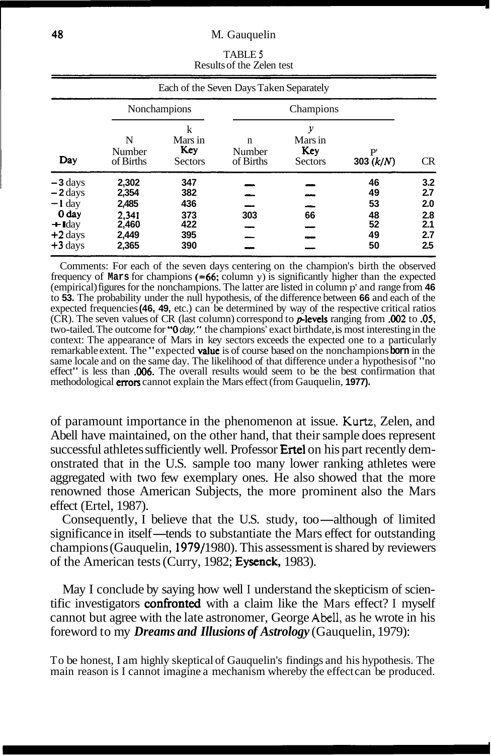|                                                                                                         |                                                             |                                               | Each of the Seven Days Taken Separately |                                       |                                        |                                               |
|---------------------------------------------------------------------------------------------------------|-------------------------------------------------------------|-----------------------------------------------|-----------------------------------------|---------------------------------------|----------------------------------------|-----------------------------------------------|
|                                                                                                         | Nonchampions                                                |                                               |                                         | Champions                             |                                        |                                               |
| Day                                                                                                     | N<br>Number<br>of Births                                    | k<br>Mars in<br>Key<br><b>Sectors</b>         | n<br>Number<br>of Births                | у<br>Mars in<br>Key<br><b>Sectors</b> | P<br>303 $(k/N)$                       | <b>CR</b>                                     |
| $-3 \, \text{days}$<br>$-2$ days<br>$-1$ day<br>0 day<br>$\triangleleft$ Iday<br>$+2$ days<br>$+3$ days | 2,302<br>2,354<br>2,485<br>2.341<br>2,460<br>2,449<br>2,365 | 347<br>382<br>436<br>373<br>422<br>395<br>390 | 303                                     | 66                                    | 46<br>49<br>53<br>48<br>52<br>49<br>50 | 3.2<br>2.7<br>2.0<br>2.8<br>2.1<br>2.7<br>2.5 |

TABLE **<sup>5</sup>** Results of the Zelen test

Comments: For each of the seven days centering on the champion's birth the observed frequency of **Mars** for champions **(=66;** column y) is significantly higher than the expected (empirical) figures for the nonchampions. The latter are listed in column p' and range from **46**  to **53.** The probability under the null hypothesis, of the difference between **66** and each of the expected frequencies **(46, 49,** etc.) can be determined by way of the respective critical ratios (CR). The seven values of CR (last column) correspond to plevels ranging from **.002** to **.05,**  two-tailed. The outcome for **"0** day," the champions' exact birthdate, is most interesting in the context: The appearance of Mars in key sectors exceeds the expected one to a particularly remarkable extent. The "expected **value** is of course based on the nonchampions **born** in the same locale and on the same day. The likelihood of that difference under a hypothesis of "no effect" is less than **006**. The overall results would seem to be the best confirmation that methodological errors cannot explain the Mars effect (from Gauquelin, **1977).** 

of paramount importance in the phenomenon at issue. **Kurtz,** Zelen, and Abell have maintained, on the other hand, that their sample does represent successful athletes sufficiently well. Professor **Ertel** on his part recently demonstrated that in the U.S. sample too many lower ranking athletes were aggregated with two few exemplary ones. He also showed that the more renowned those American Subjects, the more prominent also the Mars effect (Ertel, 1987).<br>
Consequently, I believe that the U.S. study, too—although of limited<br>
significance in itself—tends to substantiate the Mars effect f effect (Ertel, 1987).

Consequently, I believe that the U.S. study, too—although of limited significance in itself—tends to substantiate the Mars effect for outstanding champions (Gauquelin, 1979/1980). This assessment is shared by reviewers of the American tests (Curry, 1982; Eysenck, 1983).

May I conclude by saying how well I understand the skepticism of scientific investigators **confronted** with a claim like the Mars effect? I myself cannot but agree with the late astronomer, George **Abell,** as he wrote in his foreword to my *Dreams and Illusions of Astrology* (Gauquelin, 1979):

To be honest, I am highly skeptical of Gauquelin's findings and his hypothesis. The main reason is I cannot imagine a mechanism whereby the effect can be produced.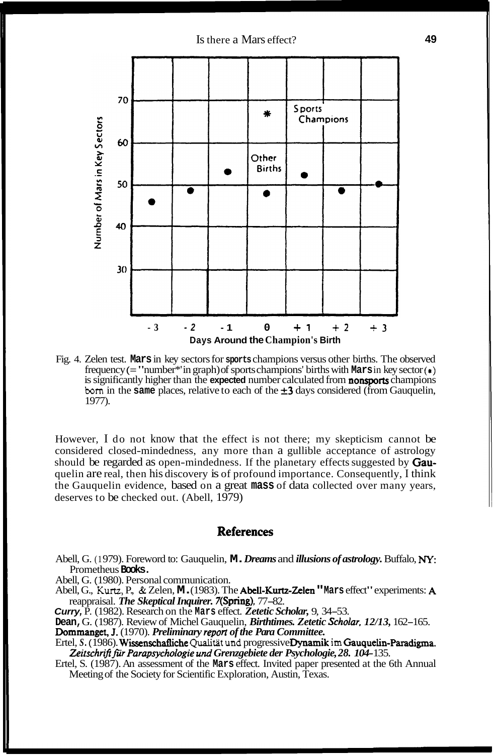Is there a Mars effect? **49** 



Fig. 4. Zelen test. **Mars** in key sectors for **sports** champions versus other births. The observed frequency (= "number\*' in graph) of sports champions' births with **Mars** in key sector *(8)*  is significantly higher than the **expected** number calculated from nonsports champions **born** in the **same** places, relative to each of the  $\pm 3$  days considered (from Gauquelin, 1977).

However, I do not know that the effect is not there; my skepticism cannot be considered closed-mindedness, any more than a gullible acceptance of astrology should be regarded as open-mindedness. If the planetary effects suggested by **Gau**quelin are real, then his discovery is of profound importance. Consequently, I think the Gauquelin evidence, based on a great **mass** of data collected over many years, deserves to be checked out. (Abell, 1979)

# **References**

Abell, G. (1 979). Foreword to: Gauquelin, **M.** *Dreams* and *illusions of astrology.* Buffalo, **NY:**  Prometheus **Books.** 

Abell, G. ( 1980). Personal communication.

Abell, G., **Kurtz,** P., & Zelen, **M.** (1983). The Abell-Kurtz-Zelen **"Mars** effect" experiments: A reappraisal. *The Skeptical Inquirer.* 7(Spring), 77-82.

**Curry,** P. (1982). Research on the **Mars** effect. *Zetetic Scholar,* 9, 34-53.

**Dean,** G. ( 1987). Review of Michel Gauquelin, *Birthtimes. Zetetic Scholar, 12/13,* 162- 165. Dommanget, **1.** (1970). *Preliminary report of the Para Committee.* 

Ertel, *S.* ( 1986). Wissenschafliche Qualitiit **und** progressive Dynamik **im** Gauquelin-Paradigma. Zeitschrift für Parapsychologie und Grenzgebiete der Psychologie, 28. 104-135.

Ertel, S. (1987). An assessment of the **Mars** effect. Invited paper presented at the 6th Annual Meeting of the Society for Scientific Exploration, Austin, Texas.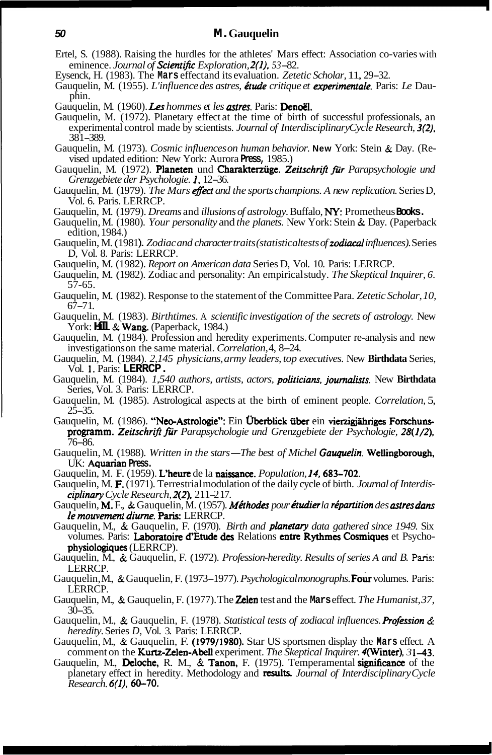- Ertel, S. (1988). Raising the hurdles for the athletes' Mars effect: Association co-varies with eminence. *Journal of Scientific Exploration, 2(1). 53-* 82.
- Eysenck, H. (1983). The Mars effectand its evaluation. *Zetetic Scholar*, 11, 29–32.
- Gauquelin, M. (1955). *L'influence des astres, étude critique et experimentale*. Paris: *Le* Dau-<br>phin.
- Gauquelin, M. (1960). *Les hommes et les astres*. Paris: Denoël.
- Gauquelin, M. (1972). Planetary effect at the time of birth of successful professionals, an experimental control made by scientists. *Journal of Interdisciplinary Cycle Research*, 3(2).  $381 - 389$ .
- Gauquelin, M. (1973). *Cosmic influences on human behavior.* **New** York: Stein & Day. (Re- vised updated edition: New York: Aurora **Press,** 1985.)
- Gauquelin, M. (1972). Planeten und Charakterzüge. Zeitschrift für Parapsychologie und *Grenzgebiete der Psychologie.* **1,** 12-36.
- Gauquelin, M. (1979). *The Mars effect and the sports champions. A new replication*. Series D, Vol. 6. Paris. LERRCP.
- Gauquelin, M. (1979). *Dreams* and *illusions of astrology.* Buffalo, **NY:** Prometheus **Books.**
- Gauquelin, M. (1980). *Your personality* and *the planets*. New York: Stein & Day. (Paperback edition, 1984.)
- Gauquelin, M. (1981). *Zodiac and character traits (statistical tests of zodiacal influences). Series* D, Vol. 8. Paris: LERRCP.
- Gauquelin, M. (1982). *Report on American data* Series D, Vol. 10. Paris: LERRCP.
- Gauquelin, M. ( 1982). Zodiac and personality: An empirical study. *The Skeptical Inquirer, 6.*  57-65.
- Gauquelin, M. (1982). Response to the statement of the Committee Para. *Zetetic Scholar, 10,*   $67 - 71.$
- Gauquelin, M. (1983). *Birthtimes.* A *scientific investigation of the secrets of astrology.* New York: **Hill & Wang.** (Paperback, 1984.)
- Gauquelin, M. (1984). Profession and heredity experiments. Computer re-analysis and new investigations on the same material. *Correlation,* 4, 8-24.
- Gauquelin, M. (1984). *2,145 physicians, army leaders, top executives.* New **Birthdata** Series, Vol. 1. Paris: **LERRCP.**
- Gauquelin, M. (1984). *1,540 authors, artists, actors, politicians, journalists*. New Birthdata Series, Vol. 3. Paris: LERRCP.
- Gauquelin, M. (1985). Astrological aspects at the birth of eminent people. *Correlation,* 5,  $2\bar{5} - 35.$
- Gauquelin, M. (1986). "Neo-Astrologie": Ein Überblick über ein vierzigjähriges Forschunsprogramm. *Zeitschriji fir Parapsychologie und Grenzgebiete der Psychologie, 28(1/2),*  76-86.
- Gauquelin, M. (1988). *Written in the stars The best of Michel Gauquelin*. **Wellingborough,** UK: Aquarian **Press.**
- Gauquelin, M. F. (1959). L'heure de la naissance. *Population,* **14.** 683-702.
- Gauquelin, M. F. (1971). Terrestrial modulation of the daily cycle of birth. *Journal of Interdis- ciplinary Cycle Research*, **2(2)**, 211–217.
- Gauquelin, M. F., & Gauquelin, M. (1957). *Méthodes pour étudier la répartition des astres dans le mouvement diurne.* Paris: LERRCP.
- Gauquelin, M., & Gauquelin, F. (1970). *Birth and planetary data gathered since 1949.* Six volumes. Paris: Laboratoire d'Etude des Relations entre Rythmes Cosmiques et Psychophysiologiques (LERRCP).
- Gauquelin, M., & Gauquelin, F. (1972). *Profession-heredity. Results of series A and B.* Paris: LERRCP.
- Gauquelin, M., & Gauquelin, F. (1973–1977). *Psychological monographs*. **Four** volumes. Paris: LERRCP.
- Gauquelin, M., & Gauquelin, F. (1977). The **Zelen** test and the **Mars** effect. *The Humanist*, 37, 30-35.
- Gauquelin, M., & Gauquelin, F. (1978). *Statistical tests of zodiacal influences. Profission* & *heredity.* Series *D,* Vol. 3. Paris: LERRCP.
- Gauquelin, M., & Gauquelin, F. (1979/1980). Star US sportsmen display the **Mars** effect. A comment on the Kurtz-Zelen-Abell experiment. *The Skeptical Inquirer.* 4(Winter), *3* 143.
- Gauquelin, M., **Deloche, R. M., & Tanon, F.** (1975). Temperamental **significance** of the planetary effect in heredity. Methodology and **results.** *Journal of Interdisciplinary Cycle Research. 6(1).* 60-70.